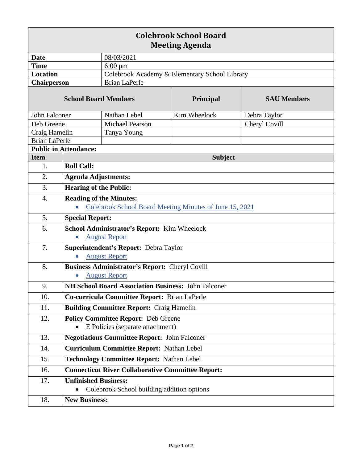| <b>Colebrook School Board</b><br><b>Meeting Agenda</b> |                                                          |                                               |                                                         |                    |  |
|--------------------------------------------------------|----------------------------------------------------------|-----------------------------------------------|---------------------------------------------------------|--------------------|--|
| <b>Date</b>                                            |                                                          | 08/03/2021                                    |                                                         |                    |  |
| <b>Time</b>                                            |                                                          | $6:00 \text{ pm}$                             |                                                         |                    |  |
| <b>Location</b>                                        |                                                          | Colebrook Academy & Elementary School Library |                                                         |                    |  |
| <b>Chairperson</b>                                     |                                                          | <b>Brian LaPerle</b>                          |                                                         |                    |  |
| <b>School Board Members</b>                            |                                                          |                                               | Principal                                               | <b>SAU Members</b> |  |
| John Falconer                                          |                                                          | Nathan Lebel                                  | Kim Wheelock                                            | Debra Taylor       |  |
| Deb Greene                                             |                                                          | <b>Michael Pearson</b>                        |                                                         | Cheryl Covill      |  |
| Craig Hamelin                                          |                                                          | Tanya Young                                   |                                                         |                    |  |
| <b>Brian LaPerle</b>                                   |                                                          |                                               |                                                         |                    |  |
| <b>Public in Attendance:</b>                           |                                                          |                                               |                                                         |                    |  |
| <b>Item</b>                                            | <b>Subject</b>                                           |                                               |                                                         |                    |  |
| 1.                                                     | <b>Roll Call:</b>                                        |                                               |                                                         |                    |  |
| 2.                                                     | <b>Agenda Adjustments:</b>                               |                                               |                                                         |                    |  |
| 3.                                                     | <b>Hearing of the Public:</b>                            |                                               |                                                         |                    |  |
| 4.                                                     | <b>Reading of the Minutes:</b>                           |                                               |                                                         |                    |  |
|                                                        |                                                          |                                               | Colebrook School Board Meeting Minutes of June 15, 2021 |                    |  |
| 5.                                                     | <b>Special Report:</b>                                   |                                               |                                                         |                    |  |
| 6.                                                     | School Administrator's Report: Kim Wheelock              |                                               |                                                         |                    |  |
|                                                        | <b>August Report</b><br>$\bullet$                        |                                               |                                                         |                    |  |
| 7.                                                     | Superintendent's Report: Debra Taylor                    |                                               |                                                         |                    |  |
|                                                        |                                                          | <b>August Report</b>                          |                                                         |                    |  |
| 8.                                                     | Business Administrator's Report: Cheryl Covill           |                                               |                                                         |                    |  |
|                                                        | <b>August Report</b>                                     |                                               |                                                         |                    |  |
| 9.                                                     | NH School Board Association Business: John Falconer      |                                               |                                                         |                    |  |
| 10.                                                    | Co-curricula Committee Report: Brian LaPerle             |                                               |                                                         |                    |  |
| 11.                                                    | <b>Building Committee Report: Craig Hamelin</b>          |                                               |                                                         |                    |  |
| 12.                                                    |                                                          | <b>Policy Committee Report: Deb Greene</b>    |                                                         |                    |  |
|                                                        |                                                          | E Policies (separate attachment)              |                                                         |                    |  |
| 13.                                                    | <b>Negotiations Committee Report: John Falconer</b>      |                                               |                                                         |                    |  |
| 14.                                                    | <b>Curriculum Committee Report: Nathan Lebel</b>         |                                               |                                                         |                    |  |
| 15.                                                    | <b>Technology Committee Report: Nathan Lebel</b>         |                                               |                                                         |                    |  |
| 16.                                                    | <b>Connecticut River Collaborative Committee Report:</b> |                                               |                                                         |                    |  |
| 17.                                                    | <b>Unfinished Business:</b>                              |                                               |                                                         |                    |  |
|                                                        |                                                          | Colebrook School building addition options    |                                                         |                    |  |
| 18.                                                    | <b>New Business:</b>                                     |                                               |                                                         |                    |  |